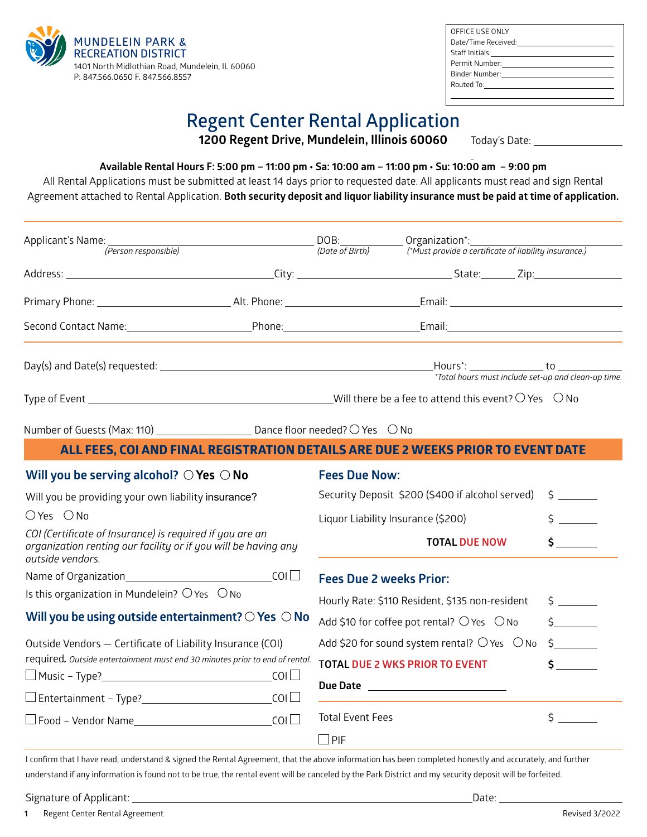

| OFFICE USE ONLY                                                                                                                                                                                                                |  |
|--------------------------------------------------------------------------------------------------------------------------------------------------------------------------------------------------------------------------------|--|
| Date/Time Received: National State Assets and the Date Assets are not all the Date Assets and the Date Assets                                                                                                                  |  |
|                                                                                                                                                                                                                                |  |
|                                                                                                                                                                                                                                |  |
| Binder Number: with the control of the control of the control of the control of the control of the control of the control of the control of the control of the control of the control of the control of the control of the con |  |
|                                                                                                                                                                                                                                |  |
|                                                                                                                                                                                                                                |  |

# **Regent Center Rental Application**

**1200 Regent Drive, Mundelein, Illinois 60060**

Today's Date:

#### **Available Rental Hours F: 5:00 pm – 11:00 pm • Sa: 10:00 am – 11:00 pm • Su: 10:00 am – 9:00 pm**

All Rental Applications must be submitted at least 14 days prior to requested date. All applicants must read and sign Rental Agreement attached to Rental Application. **Both security deposit and liquor liability insurance must be paid at time of application.**

| Applicant's Name: (Person responsible) (Person responsible) (DOB: DOB: Organization*: (Person responsible) (Date of Birth) (Date of Birth) (Must provide a certificate of liability insurance.) |                                |                                                                   |                                             |  |  |
|-------------------------------------------------------------------------------------------------------------------------------------------------------------------------------------------------|--------------------------------|-------------------------------------------------------------------|---------------------------------------------|--|--|
|                                                                                                                                                                                                 |                                |                                                                   |                                             |  |  |
|                                                                                                                                                                                                 |                                |                                                                   |                                             |  |  |
|                                                                                                                                                                                                 |                                |                                                                   |                                             |  |  |
|                                                                                                                                                                                                 |                                |                                                                   |                                             |  |  |
|                                                                                                                                                                                                 |                                |                                                                   |                                             |  |  |
| Type of Event $\_\_$                                                                                                                                                                            |                                |                                                                   |                                             |  |  |
| Number of Guests (Max: 110) $\_\_\_\_\_\_\_\_\_\$ Dance floor needed? $\odot$ Yes $\_\_\_\_\_\_\_\_\$<br>ALL FEES, COI AND FINAL REGISTRATION DETAILS ARE DUE 2 WEEKS PRIOR TO EVENT DATE       |                                |                                                                   |                                             |  |  |
| Will you be serving alcohol? $\bigcirc$ Yes $\bigcirc$ No                                                                                                                                       | <b>Fees Due Now:</b>           |                                                                   |                                             |  |  |
| Will you be providing your own liability insurance?                                                                                                                                             |                                | Security Deposit \$200 (\$400 if alcohol served)<br>$\frac{1}{2}$ |                                             |  |  |
| OYes ONo                                                                                                                                                                                        |                                | Liquor Liability Insurance (\$200)                                | $5$ $-$                                     |  |  |
| COI (Certificate of Insurance) is required if you are an<br>organization renting our facility or if you will be having any<br>outside vendors.                                                  |                                | <b>TOTAL DUE NOW</b>                                              | $\ddot{\mathsf{s}}$                         |  |  |
| Name of Organization $\qquad \qquad \qquad \qquad \text{COI}$                                                                                                                                   | <b>Fees Due 2 weeks Prior:</b> |                                                                   |                                             |  |  |
| Is this organization in Mundelein? $\bigcirc$ Yes $\bigcirc$ No                                                                                                                                 |                                | Hourly Rate: \$110 Resident, \$135 non-resident                   | $\zeta$                                     |  |  |
| Will you be using outside entertainment? $\bigcirc$ Yes $\bigcirc$ No                                                                                                                           |                                | Add \$10 for coffee pot rental? $\bigcirc$ Yes $\bigcirc$ No      | $\zeta$                                     |  |  |
| Outside Vendors - Certificate of Liability Insurance (COI)                                                                                                                                      |                                | Add \$20 for sound system rental? $\bigcirc$ Yes $\bigcirc$ No    | $\zeta$                                     |  |  |
| required. Outside entertainment must end 30 minutes prior to end of rental.                                                                                                                     |                                | <b>TOTAL DUE 2 WKS PRIOR TO EVENT</b>                             | $\ddot{\mathsf{S}}$ and $\ddot{\mathsf{S}}$ |  |  |
|                                                                                                                                                                                                 |                                | Due Date ___________________________                              |                                             |  |  |
|                                                                                                                                                                                                 |                                |                                                                   |                                             |  |  |
| $\Box$ Food - Vendor Name $\_\_$                                                                                                                                                                | <b>Total Event Fees</b>        |                                                                   | $\frac{1}{2}$                               |  |  |
|                                                                                                                                                                                                 | $\Box$ PIF                     |                                                                   |                                             |  |  |

I confirm that I have read, understand & signed the Rental Agreement, that the above information has been completed honestly and accurately, and further understand if any information is found not to be true, the rental event will be canceled by the Park District and my security deposit will be forfeited.

#### Signature of Applicant: Date:

**1** Regent Center Rental Agreement Revised 3/2022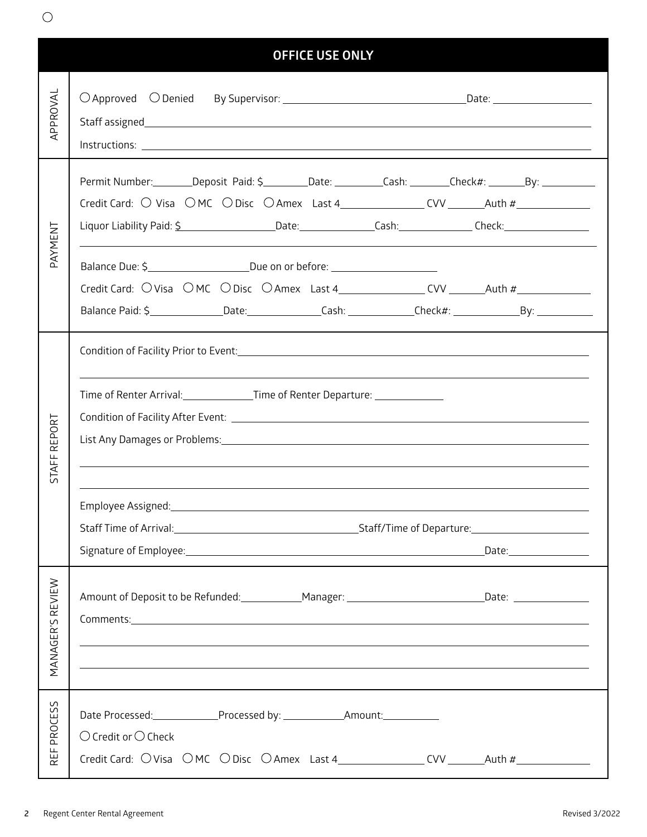| <b>OFFICE USE ONLY</b> |                                                                                                                                                                                                                                                                                                                                                                                                                                                                                                                                                                                 |  |  |  |  |
|------------------------|---------------------------------------------------------------------------------------------------------------------------------------------------------------------------------------------------------------------------------------------------------------------------------------------------------------------------------------------------------------------------------------------------------------------------------------------------------------------------------------------------------------------------------------------------------------------------------|--|--|--|--|
| APPROVAL               |                                                                                                                                                                                                                                                                                                                                                                                                                                                                                                                                                                                 |  |  |  |  |
| TNENAK                 | Permit Number: Deposit Paid: \$ ________Date: __________Cash: ________Check#: ________By: __________<br>Liquor Liability Paid: \$ _______________________Date:_________________Cash:_________________Check:__________________                                                                                                                                                                                                                                                                                                                                                   |  |  |  |  |
|                        | Balance Due: \$___________________________Due on or before: _____________________<br>Balance Paid: \$________________Date:________________Cash: _____________Check#: ____________________By: ____________                                                                                                                                                                                                                                                                                                                                                                       |  |  |  |  |
| REPORT<br>STAFF        | Time of Renter Arrival: _____________________Time of Renter Departure: _______________<br>List Any Damages or Problems: 1998 and 2008 and 2009 and 2009 and 2009 and 2009 and 2009 and 2009 and 2009 and<br>Employee Assigned: 1999 Contract Contract Contract Contract Contract Contract Contract Contract Contract Contract Contract Contract Contract Contract Contract Contract Contract Contract Contract Contract Contract Contract<br>Signature of Employee: etc. All and the state of Employee: etc. All and the state of Employee: etc. All and the state of Employee: |  |  |  |  |
| MANAGER'S REVIEW       | Amount of Deposit to be Refunded: _____________Manager: _______________________________Date: ________________<br>,我们也不会有什么。""我们的人,我们也不会有什么?""我们的人,我们也不会有什么?""我们的人,我们也不会有什么?""我们的人,我们也不会有什么?""我们的人<br>,我们也不会有什么。""我们的人,我们也不会有什么?""我们的人,我们也不会有什么?""我们的人,我们也不会有什么?""我们的人,我们也不会有什么?""我们的人                                                                                                                                                                                                                                                                                           |  |  |  |  |
| PROCESS<br>REF         | $\bigcirc$ Credit or $\bigcirc$ Check                                                                                                                                                                                                                                                                                                                                                                                                                                                                                                                                           |  |  |  |  |

 $\bigcirc$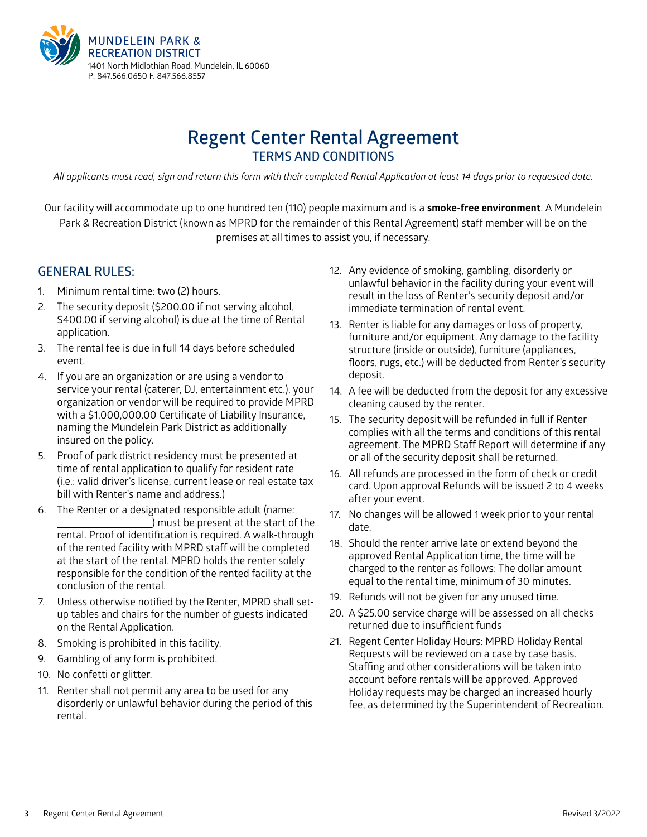

## **Regent Center Rental Agreement TERMS AND CONDITIONS**

*All applicants must read, sign and return this form with their completed Rental Application at least 14 days prior to requested date.*

Our facility will accommodate up to one hundred ten (110) people maximum and is a **smoke-free environment**. A Mundelein Park & Recreation District (known as MPRD for the remainder of this Rental Agreement) staff member will be on the premises at all times to assist you, if necessary.

#### **GENERAL RULES:**

- 1. Minimum rental time: two (2) hours.
- 2. The security deposit (\$200.00 if not serving alcohol, \$400.00 if serving alcohol) is due at the time of Rental application.
- 3. The rental fee is due in full 14 days before scheduled event.
- 4. If you are an organization or are using a vendor to service your rental (caterer, DJ, entertainment etc.), your organization or vendor will be required to provide MPRD with a \$1,000,000.00 Certificate of Liability Insurance, naming the Mundelein Park District as additionally insured on the policy.
- 5. Proof of park district residency must be presented at time of rental application to qualify for resident rate (i.e.: valid driver's license, current lease or real estate tax bill with Renter's name and address.)
- 6. The Renter or a designated responsible adult (name: ) must be present at the start of the rental. Proof of identification is required. A walk-through of the rented facility with MPRD staff will be completed at the start of the rental. MPRD holds the renter solely responsible for the condition of the rented facility at the conclusion of the rental.
- 7. Unless otherwise notified by the Renter, MPRD shall setup tables and chairs for the number of guests indicated on the Rental Application.
- 8. Smoking is prohibited in this facility.
- 9. Gambling of any form is prohibited.
- 10. No confetti or glitter.
- 11. Renter shall not permit any area to be used for any disorderly or unlawful behavior during the period of this rental.
- 12. Any evidence of smoking, gambling, disorderly or unlawful behavior in the facility during your event will result in the loss of Renter's security deposit and/or immediate termination of rental event.
- 13. Renter is liable for any damages or loss of property, furniture and/or equipment. Any damage to the facility structure (inside or outside), furniture (appliances, floors, rugs, etc.) will be deducted from Renter's security deposit.
- 14. A fee will be deducted from the deposit for any excessive cleaning caused by the renter.
- 15. The security deposit will be refunded in full if Renter complies with all the terms and conditions of this rental agreement. The MPRD Staff Report will determine if any or all of the security deposit shall be returned.
- 16. All refunds are processed in the form of check or credit card. Upon approval Refunds will be issued 2 to 4 weeks after your event.
- 17. No changes will be allowed 1 week prior to your rental date.
- 18. Should the renter arrive late or extend beyond the approved Rental Application time, the time will be charged to the renter as follows: The dollar amount equal to the rental time, minimum of 30 minutes.
- 19. Refunds will not be given for any unused time.
- 20. A \$25.00 service charge will be assessed on all checks returned due to insufficient funds
- 21. Regent Center Holiday Hours: MPRD Holiday Rental Requests will be reviewed on a case by case basis. Staffing and other considerations will be taken into account before rentals will be approved. Approved Holiday requests may be charged an increased hourly fee, as determined by the Superintendent of Recreation.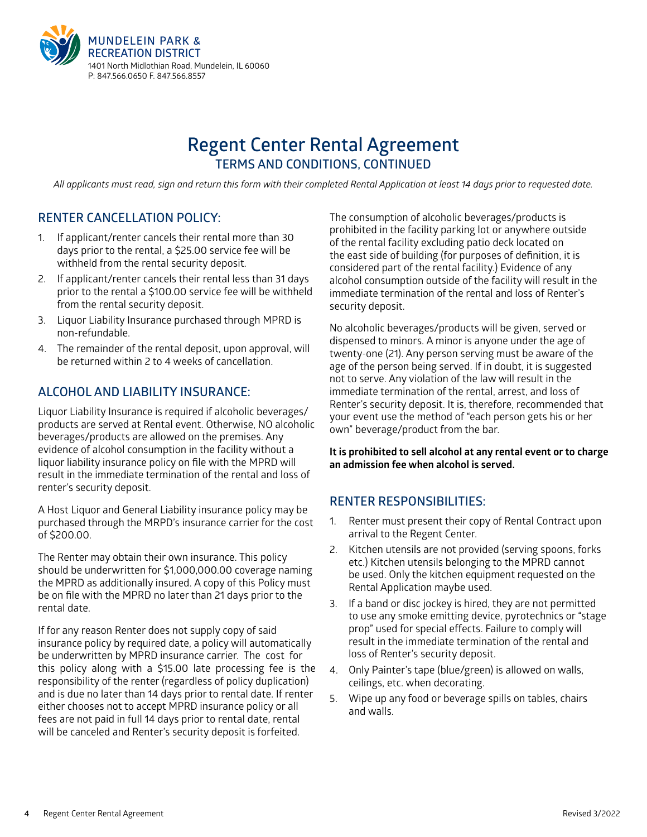

## **Regent Center Rental Agreement TERMS AND CONDITIONS, CONTINUED**

*All applicants must read, sign and return this form with their completed Rental Application at least 14 days prior to requested date.*

### **RENTER CANCELLATION POLICY:**

- 1. If applicant/renter cancels their rental more than 30 days prior to the rental, a \$25.00 service fee will be withheld from the rental security deposit.
- 2. If applicant/renter cancels their rental less than 31 days prior to the rental a \$100.00 service fee will be withheld from the rental security deposit.
- 3. Liquor Liability Insurance purchased through MPRD is non-refundable.
- 4. The remainder of the rental deposit, upon approval, will be returned within 2 to 4 weeks of cancellation.

#### **ALCOHOL AND LIABILITY INSURANCE:**

Liquor Liability Insurance is required if alcoholic beverages/ products are served at Rental event. Otherwise, NO alcoholic beverages/products are allowed on the premises. Any evidence of alcohol consumption in the facility without a liquor liability insurance policy on file with the MPRD will result in the immediate termination of the rental and loss of renter's security deposit.

A Host Liquor and General Liability insurance policy may be purchased through the MRPD's insurance carrier for the cost of \$200.00.

The Renter may obtain their own insurance. This policy should be underwritten for \$1,000,000.00 coverage naming the MPRD as additionally insured. A copy of this Policy must be on file with the MPRD no later than 21 days prior to the rental date.

If for any reason Renter does not supply copy of said insurance policy by required date, a policy will automatically be underwritten by MPRD insurance carrier. The cost for this policy along with a \$15.00 late processing fee is the responsibility of the renter (regardless of policy duplication) and is due no later than 14 days prior to rental date. If renter either chooses not to accept MPRD insurance policy or all fees are not paid in full 14 days prior to rental date, rental will be canceled and Renter's security deposit is forfeited.

The consumption of alcoholic beverages/products is prohibited in the facility parking lot or anywhere outside of the rental facility excluding patio deck located on the east side of building (for purposes of definition, it is considered part of the rental facility.) Evidence of any alcohol consumption outside of the facility will result in the immediate termination of the rental and loss of Renter's security deposit.

No alcoholic beverages/products will be given, served or dispensed to minors. A minor is anyone under the age of twenty-one (21). Any person serving must be aware of the age of the person being served. If in doubt, it is suggested not to serve. Any violation of the law will result in the immediate termination of the rental, arrest, and loss of Renter's security deposit. It is, therefore, recommended that your event use the method of "each person gets his or her own" beverage/product from the bar.

**It is prohibited to sell alcohol at any rental event or to charge an admission fee when alcohol is served.**

#### **RENTER RESPONSIBILITIES:**

- 1. Renter must present their copy of Rental Contract upon arrival to the Regent Center.
- 2. Kitchen utensils are not provided (serving spoons, forks etc.) Kitchen utensils belonging to the MPRD cannot be used. Only the kitchen equipment requested on the Rental Application maybe used.
- 3. If a band or disc jockey is hired, they are not permitted to use any smoke emitting device, pyrotechnics or "stage prop" used for special effects. Failure to comply will result in the immediate termination of the rental and loss of Renter's security deposit.
- 4. Only Painter's tape (blue/green) is allowed on walls, ceilings, etc. when decorating.
- 5. Wipe up any food or beverage spills on tables, chairs and walls.